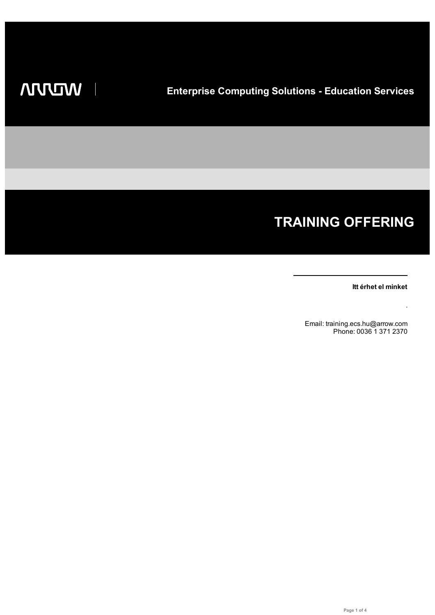I

# **TRAINING OFFERING**

**Itt érhet el minket**

.

Email: training.ecs.hu@arrow.com Phone: 0036 1 371 2370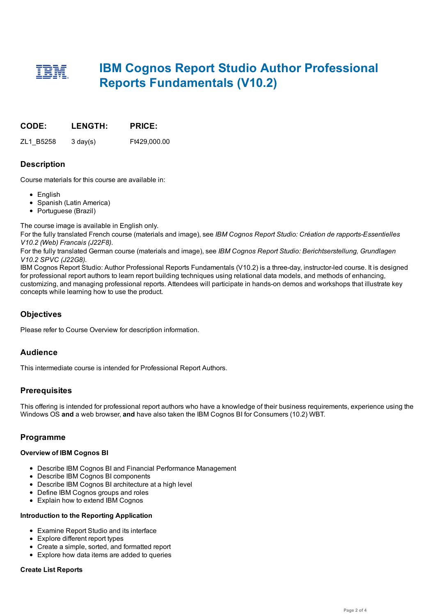## **IBM Cognos Report Studio Author Professional Reports Fundamentals (V10.2)**

|  | CODE: | <b>LENGTH:</b> | <b>PRICE:</b> |
|--|-------|----------------|---------------|
|--|-------|----------------|---------------|

ZL1\_B5258 3 day(s) Ft429,000.00

## **Description**

Course materials for this course are available in:

- English
- Spanish (Latin America)
- Portuguese (Brazil)

The course image is available in English only.

For the fully translated French course (materials and image), see *IBM Cognos Report Studio: Création de rapports-Essentielles V10.2 (Web) Francais (J22F8)*.

For the fully translated German course (materials and image), see *IBM Cognos Report Studio: Berichtserstellung, Grundlagen V10.2 SPVC (J22G8)*.

IBM Cognos Report Studio: Author Professional Reports Fundamentals (V10.2) is a three-day, instructor-led course. It is designed for professional report authors to learn report building techniques using relational data models, and methods of enhancing, customizing, and managing professional reports. Attendees will participate in hands-on demos and workshops that illustrate key concepts while learning how to use the product.

## **Objectives**

Please refer to Course Overview for description information.

## **Audience**

This intermediate course is intended for Professional Report Authors.

## **Prerequisites**

This offering is intended for professional report authors who have a knowledge of their business requirements, experience using the Windows OS **and** a web browser, **and** have also taken the IBM Cognos BI for Consumers (10.2) WBT.

## **Programme**

#### **Overview of IBM Cognos BI**

- Describe IBM Cognos BI and Financial Performance Management
- Describe IBM Cognos BI components
- Describe IBM Cognos BI architecture at a high level
- Define IBM Cognos groups and roles
- Explain how to extend IBM Cognos

#### **Introduction to the Reporting Application**

- Examine Report Studio and its interface
- Explore different report types
- Create a simple, sorted, and formatted report
- Explore how data items are added to queries

#### **Create List Reports**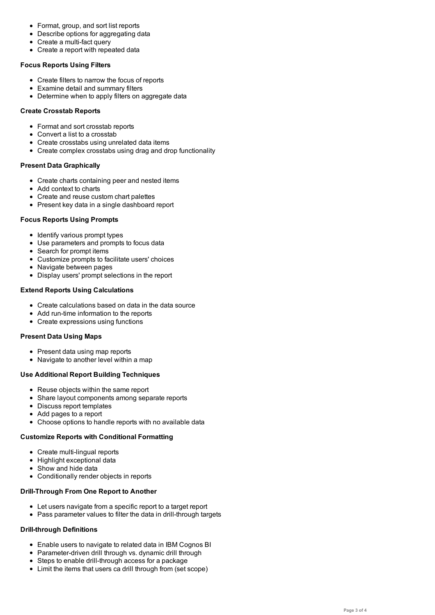- Describe options for aggregating data Create a multi-fact query
- Create a report with repeated data

#### **Focus Reports Using Filters**

- Create filters to narrow the focus of reports
- Examine detail and summary filters
- Determine when to apply filters on aggregate data

#### **Create Crosstab Reports**

- Format and sort crosstab reports
- Convert a list to a crosstab
- Create crosstabs using unrelated data items
- Create complex crosstabs using drag and drop functionality

#### **Present Data Graphically**

- Create charts containing peer and nested items
- Add context to charts
- Create and reuse custom chart palettes
- Present key data in a single dashboard report

#### **Focus Reports Using Prompts**

- Identify various prompt types
- Use parameters and prompts to focus data
- Search for prompt items
- Customize prompts to facilitate users' choices
- Navigate between pages
- Display users' prompt selections in the report

#### **Extend Reports Using Calculations**

- Create calculations based on data in the data source
- Add run-time information to the reports
- Create expressions using functions

#### **Present Data Using Maps**

- Present data using map reports
- Navigate to another level within a map

#### **Use Additional Report Building Techniques**

- Reuse objects within the same report
- Share layout components among separate reports
- Discuss report templates
- Add pages to a report
- Choose options to handle reports with no available data

#### **Customize Reports with Conditional Formatting**

- Create multi-lingual reports
- Highlight exceptional data
- Show and hide data
- Conditionally render objects in reports

#### **Drill-Through From One Report to Another**

- Let users navigate from a specific report to a target report
- Pass parameter values to filter the data in drill-through targets

#### **Drill-through Definitions**

- Enable users to navigate to related data in IBM Cognos BI
- Parameter-driven drill through vs. dynamic drill through
- Steps to enable drill-through access for a package
- Limit the items that users ca drill through from (set scope)